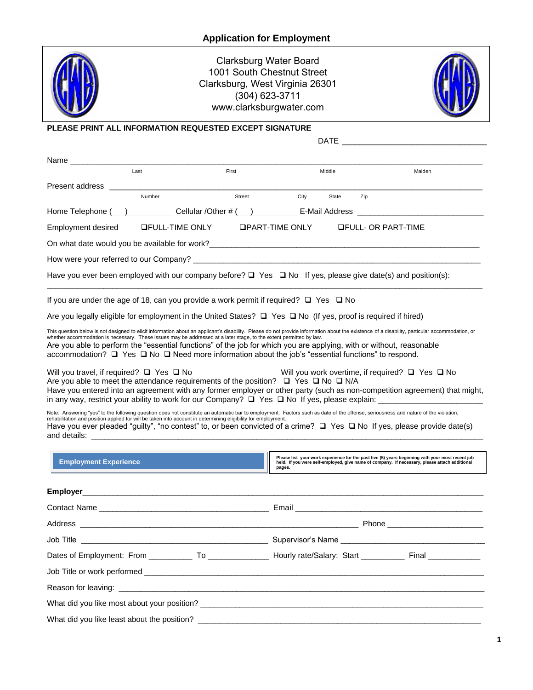

Clarksburg Water Board 1001 South Chestnut Street Clarksburg, West Virginia 26301 (304) 623-3711 www.clarksburgwater.com



## **PLEASE PRINT ALL INFORMATION REQUESTED EXCEPT SIGNATURE**

|                                                                                                                                                                                                                                                                                                                                                    |                                                                                                                                                                                                                                                                                                                                                                                                                                                               |                                                                                                                         | <b>DATE</b>   |                                                                                                                                                                                                   |  |  |
|----------------------------------------------------------------------------------------------------------------------------------------------------------------------------------------------------------------------------------------------------------------------------------------------------------------------------------------------------|---------------------------------------------------------------------------------------------------------------------------------------------------------------------------------------------------------------------------------------------------------------------------------------------------------------------------------------------------------------------------------------------------------------------------------------------------------------|-------------------------------------------------------------------------------------------------------------------------|---------------|---------------------------------------------------------------------------------------------------------------------------------------------------------------------------------------------------|--|--|
| Name _______________                                                                                                                                                                                                                                                                                                                               |                                                                                                                                                                                                                                                                                                                                                                                                                                                               |                                                                                                                         |               |                                                                                                                                                                                                   |  |  |
|                                                                                                                                                                                                                                                                                                                                                    | Last                                                                                                                                                                                                                                                                                                                                                                                                                                                          | First                                                                                                                   | Middle        | Maiden                                                                                                                                                                                            |  |  |
| Present address and the present and the present and the present and the present of the Present of Present and                                                                                                                                                                                                                                      |                                                                                                                                                                                                                                                                                                                                                                                                                                                               |                                                                                                                         |               |                                                                                                                                                                                                   |  |  |
|                                                                                                                                                                                                                                                                                                                                                    | Number                                                                                                                                                                                                                                                                                                                                                                                                                                                        | <b>Street Exercise 1999</b>                                                                                             | City<br>State | Zip                                                                                                                                                                                               |  |  |
|                                                                                                                                                                                                                                                                                                                                                    |                                                                                                                                                                                                                                                                                                                                                                                                                                                               |                                                                                                                         |               | Home Telephone ( ) Cellular /Other # ( ) E-Mail Address ________________________                                                                                                                  |  |  |
| Employment desired                                                                                                                                                                                                                                                                                                                                 |                                                                                                                                                                                                                                                                                                                                                                                                                                                               | <b>QFULL-TIME ONLY GPART-TIME ONLY QFULL- OR PART-TIME</b>                                                              |               |                                                                                                                                                                                                   |  |  |
|                                                                                                                                                                                                                                                                                                                                                    |                                                                                                                                                                                                                                                                                                                                                                                                                                                               |                                                                                                                         |               |                                                                                                                                                                                                   |  |  |
|                                                                                                                                                                                                                                                                                                                                                    |                                                                                                                                                                                                                                                                                                                                                                                                                                                               |                                                                                                                         |               |                                                                                                                                                                                                   |  |  |
|                                                                                                                                                                                                                                                                                                                                                    |                                                                                                                                                                                                                                                                                                                                                                                                                                                               | Have you ever been employed with our company before? $\Box$ Yes $\Box$ No If yes, please give date(s) and position(s):  |               |                                                                                                                                                                                                   |  |  |
|                                                                                                                                                                                                                                                                                                                                                    |                                                                                                                                                                                                                                                                                                                                                                                                                                                               | If you are under the age of 18, can you provide a work permit if required? $\Box$ Yes $\Box$ No                         |               |                                                                                                                                                                                                   |  |  |
|                                                                                                                                                                                                                                                                                                                                                    |                                                                                                                                                                                                                                                                                                                                                                                                                                                               | Are you legally eligible for employment in the United States? $\Box$ Yes $\Box$ No (If yes, proof is required if hired) |               |                                                                                                                                                                                                   |  |  |
|                                                                                                                                                                                                                                                                                                                                                    | This question below is not designed to elicit information about an applicant's disability. Please do not provide information about the existence of a disability, particular accommodation, or whether accommodation is necess<br>Are you able to perform the "essential functions" of the job for which you are applying, with or without, reasonable<br>accommodation? □ Yes □ No □ Need more information about the job's "essential functions" to respond. |                                                                                                                         |               |                                                                                                                                                                                                   |  |  |
| Will you work overtime, if required? $\Box$ Yes $\Box$ No<br>Will you travel, if required? $\Box$ Yes $\Box$ No<br>Are you able to meet the attendance requirements of the position? $\Box$ Yes $\Box$ No $\Box$ N/A<br>Have you entered into an agreement with any former employer or other party (such as non-competition agreement) that might, |                                                                                                                                                                                                                                                                                                                                                                                                                                                               |                                                                                                                         |               |                                                                                                                                                                                                   |  |  |
|                                                                                                                                                                                                                                                                                                                                                    | Note: Answering "yes" to the following question does not constitute an automatic bar to employment. Factors such as date of the offense, seriousness and nature of the violation,<br>rehabilitation and position applied for will be taken into account in determining eligibility for employment.<br>Have you ever pleaded "guilty", "no contest" to, or been convicted of a crime? $\Box$ Yes $\Box$ No If yes, please provide date(s)                      |                                                                                                                         |               |                                                                                                                                                                                                   |  |  |
| <b>Employment Experience</b>                                                                                                                                                                                                                                                                                                                       |                                                                                                                                                                                                                                                                                                                                                                                                                                                               |                                                                                                                         | pages.        | Please list your work experience for the past five (5) years beginning with your most recent job<br>held. If you were self-employed, give name of company. If necessary, please attach additional |  |  |
|                                                                                                                                                                                                                                                                                                                                                    |                                                                                                                                                                                                                                                                                                                                                                                                                                                               |                                                                                                                         |               |                                                                                                                                                                                                   |  |  |
|                                                                                                                                                                                                                                                                                                                                                    |                                                                                                                                                                                                                                                                                                                                                                                                                                                               |                                                                                                                         |               |                                                                                                                                                                                                   |  |  |
| Address _                                                                                                                                                                                                                                                                                                                                          | <b>Phone Contract Contract Phone</b>                                                                                                                                                                                                                                                                                                                                                                                                                          |                                                                                                                         |               |                                                                                                                                                                                                   |  |  |
|                                                                                                                                                                                                                                                                                                                                                    |                                                                                                                                                                                                                                                                                                                                                                                                                                                               |                                                                                                                         |               |                                                                                                                                                                                                   |  |  |
|                                                                                                                                                                                                                                                                                                                                                    |                                                                                                                                                                                                                                                                                                                                                                                                                                                               | Dates of Employment: From ____________ To __________________ Hourly rate/Salary: Start ___________ Final ___________    |               |                                                                                                                                                                                                   |  |  |
|                                                                                                                                                                                                                                                                                                                                                    |                                                                                                                                                                                                                                                                                                                                                                                                                                                               |                                                                                                                         |               |                                                                                                                                                                                                   |  |  |
|                                                                                                                                                                                                                                                                                                                                                    |                                                                                                                                                                                                                                                                                                                                                                                                                                                               |                                                                                                                         |               |                                                                                                                                                                                                   |  |  |
|                                                                                                                                                                                                                                                                                                                                                    |                                                                                                                                                                                                                                                                                                                                                                                                                                                               |                                                                                                                         |               |                                                                                                                                                                                                   |  |  |
|                                                                                                                                                                                                                                                                                                                                                    |                                                                                                                                                                                                                                                                                                                                                                                                                                                               |                                                                                                                         |               |                                                                                                                                                                                                   |  |  |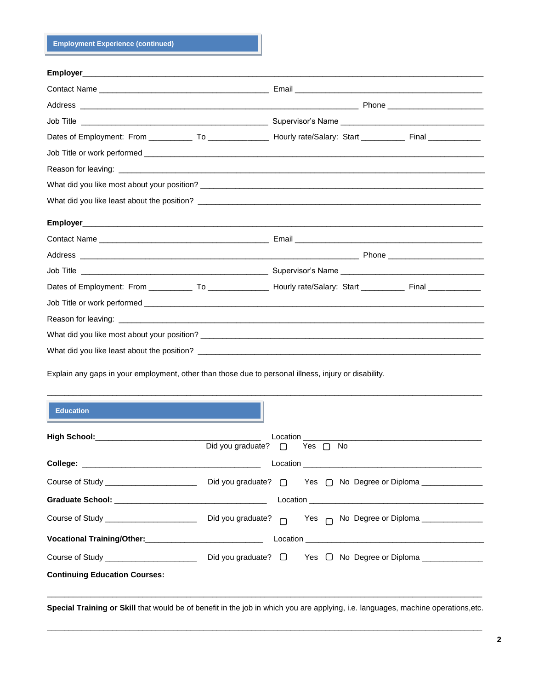**Employment Experience (continued)**

| Job Title <b>The Commission of the Commission Commission</b> Supervisor's Name <b>Commission</b> Commission of the Commission Commission of the Commission of the Commission of the Commission of the Commission of the Commission of th |  |
|------------------------------------------------------------------------------------------------------------------------------------------------------------------------------------------------------------------------------------------|--|
| Dates of Employment: From ______________ To __________________ Hourly rate/Salary: Start ___________ Final ______________                                                                                                                |  |
|                                                                                                                                                                                                                                          |  |
|                                                                                                                                                                                                                                          |  |
|                                                                                                                                                                                                                                          |  |
|                                                                                                                                                                                                                                          |  |
|                                                                                                                                                                                                                                          |  |
|                                                                                                                                                                                                                                          |  |
|                                                                                                                                                                                                                                          |  |
|                                                                                                                                                                                                                                          |  |
| Dates of Employment: From ______________ To __________________ Hourly rate/Salary: Start ___________ Final ______________                                                                                                                |  |
|                                                                                                                                                                                                                                          |  |
| Reason for leaving: entertainment of the state of the state of the state of the state of the state of the state of the state of the state of the state of the state of the state of the state of the state of the state of the           |  |
|                                                                                                                                                                                                                                          |  |
|                                                                                                                                                                                                                                          |  |
|                                                                                                                                                                                                                                          |  |

Explain any gaps in your employment, other than those due to personal illness, injury or disability.

| <b>Education</b>                                                                                                                                                                                                                    |                              |  |  |  |
|-------------------------------------------------------------------------------------------------------------------------------------------------------------------------------------------------------------------------------------|------------------------------|--|--|--|
|                                                                                                                                                                                                                                     | Did you graduate? □ Yes □ No |  |  |  |
|                                                                                                                                                                                                                                     |                              |  |  |  |
|                                                                                                                                                                                                                                     |                              |  |  |  |
| <b>Graduate School:</b> Contract Contract Contract Contract Contract Contract Contract Contract Contract Contract Contract Contract Contract Contract Contract Contract Contract Contract Contract Contract Contract Contract Contr |                              |  |  |  |
|                                                                                                                                                                                                                                     |                              |  |  |  |
|                                                                                                                                                                                                                                     |                              |  |  |  |
|                                                                                                                                                                                                                                     |                              |  |  |  |
| <b>Continuing Education Courses:</b>                                                                                                                                                                                                |                              |  |  |  |

\_\_\_\_\_\_\_\_\_\_\_\_\_\_\_\_\_\_\_\_\_\_\_\_\_\_\_\_\_\_\_\_\_\_\_\_\_\_\_\_\_\_\_\_\_\_\_\_\_\_\_\_\_\_\_\_\_\_\_\_\_\_\_\_\_\_\_\_\_\_\_\_\_\_\_\_\_\_\_\_\_\_\_\_\_\_\_\_\_\_\_\_\_\_\_\_\_\_\_\_

n I

**Special Training or Skill** that would be of benefit in the job in which you are applying, i.e. languages, machine operations,etc. \_\_\_\_\_\_\_\_\_\_\_\_\_\_\_\_\_\_\_\_\_\_\_\_\_\_\_\_\_\_\_\_\_\_\_\_\_\_\_\_\_\_\_\_\_\_\_\_\_\_\_\_\_\_\_\_\_\_\_\_\_\_\_\_\_\_\_\_\_\_\_\_\_\_\_\_\_\_\_\_\_\_\_\_\_\_\_\_\_\_\_\_\_\_\_\_\_\_\_\_